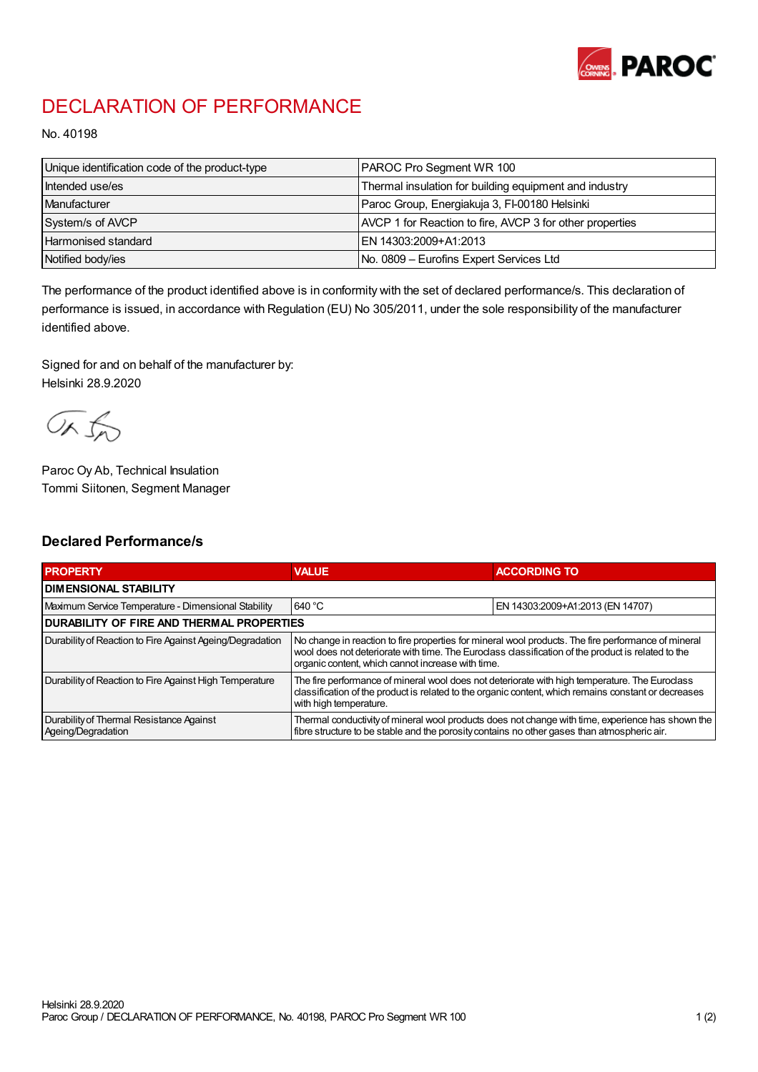

## DECLARATION OF PERFORMANCE

No. 40198

| Unique identification code of the product-type | PAROC Pro Segment WR 100                                 |
|------------------------------------------------|----------------------------------------------------------|
| Intended use/es                                | Thermal insulation for building equipment and industry   |
| Manufacturer                                   | Paroc Group, Energiakuja 3, FI-00180 Helsinki            |
| System/s of AVCP                               | AVCP 1 for Reaction to fire, AVCP 3 for other properties |
| <b>Harmonised standard</b>                     | EN 14303:2009+A1:2013                                    |
| Notified body/ies                              | No. 0809 – Eurofins Expert Services Ltd                  |

The performance of the product identified above is in conformity with the set of declared performance/s. This declaration of performance is issued, in accordance with Regulation (EU) No 305/2011, under the sole responsibility of the manufacturer identified above.

Signed for and on behalf of the manufacturer by: Helsinki 28.9.2020

ORJO

Paroc Oy Ab, Technical Insulation Tommi Siitonen, Segment Manager

## Declared Performance/s

| <b>PROPERTY</b>                                                | <b>VALUE</b>                                                                                                                                                                                                                                                   | <b>ACCORDING TO</b>              |  |
|----------------------------------------------------------------|----------------------------------------------------------------------------------------------------------------------------------------------------------------------------------------------------------------------------------------------------------------|----------------------------------|--|
| <b>I DIMENSIONAL STABILITY</b>                                 |                                                                                                                                                                                                                                                                |                                  |  |
| Maximum Service Temperature - Dimensional Stability            | 640 °C                                                                                                                                                                                                                                                         | EN 14303:2009+A1:2013 (EN 14707) |  |
| <b>DURABILITY OF FIRE AND THERMAL PROPERTIES</b>               |                                                                                                                                                                                                                                                                |                                  |  |
| Durability of Reaction to Fire Against Ageing/Degradation      | No change in reaction to fire properties for mineral wool products. The fire performance of mineral<br>wool does not deteriorate with time. The Euroclass classification of the product is related to the<br>organic content, which cannot increase with time. |                                  |  |
| Durability of Reaction to Fire Against High Temperature        | The fire performance of mineral wool does not deteriorate with high temperature. The Euroclass<br>classification of the product is related to the organic content, which remains constant or decreases<br>with high temperature.                               |                                  |  |
| Durability of Thermal Resistance Against<br>Ageing/Degradation | Thermal conductivity of mineral wool products does not change with time, experience has shown the<br>fibre structure to be stable and the porosity contains no other gases than atmospheric air.                                                               |                                  |  |